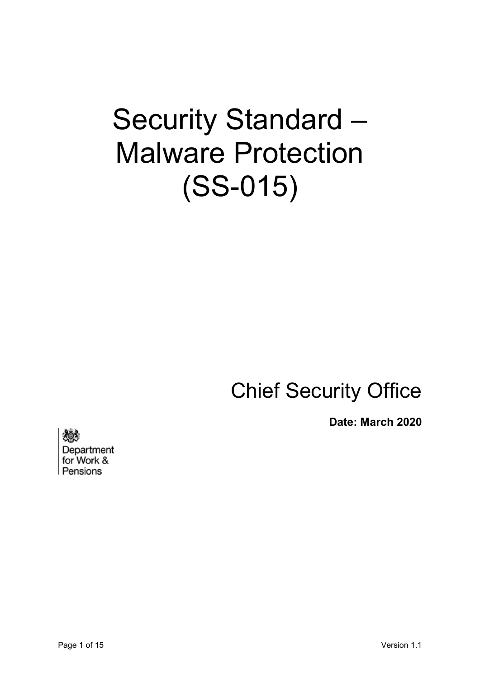# Security Standard – Malware Protection (SS-015)

# Chief Security Office

**Date: March 2020**

Department

for Work & Pensions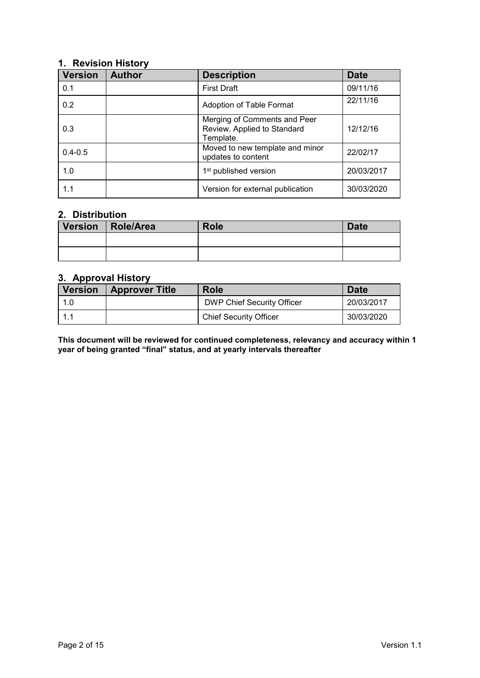## <span id="page-1-0"></span>**1. Revision History**

| <b>Version</b> | <b>Author</b> | <b>Description</b>                                                       | <b>Date</b> |
|----------------|---------------|--------------------------------------------------------------------------|-------------|
| 0.1            |               | <b>First Draft</b>                                                       | 09/11/16    |
| 0.2            |               | Adoption of Table Format                                                 | 22/11/16    |
| 0.3            |               | Merging of Comments and Peer<br>Review. Applied to Standard<br>Template. | 12/12/16    |
| $0.4 - 0.5$    |               | Moved to new template and minor<br>updates to content                    | 22/02/17    |
| 1.0            |               | 1 <sup>st</sup> published version                                        | 20/03/2017  |
| 1.1            |               | Version for external publication                                         | 30/03/2020  |

# <span id="page-1-1"></span>**2. Distribution**

| Version | Role/Area | <b>Role</b> | <b>Date</b> |
|---------|-----------|-------------|-------------|
|         |           |             |             |
|         |           |             |             |

# <span id="page-1-2"></span>**3. Approval History**

| <b>Version</b> | <b>Approver Title</b> | <b>Role</b>                       | <b>Date</b> |
|----------------|-----------------------|-----------------------------------|-------------|
|                |                       | <b>DWP Chief Security Officer</b> | 20/03/2017  |
|                |                       | <b>Chief Security Officer</b>     | 30/03/2020  |

**This document will be reviewed for continued completeness, relevancy and accuracy within 1 year of being granted "final" status, and at yearly intervals thereafter**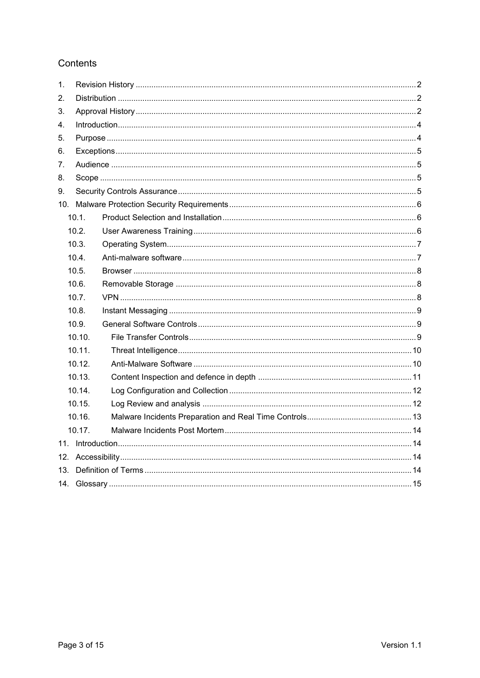# Contents

| $\mathbf 1$ . |        |  |  |
|---------------|--------|--|--|
| 2.            |        |  |  |
| 3.            |        |  |  |
| 4.            |        |  |  |
| 5.            |        |  |  |
| 6.            |        |  |  |
| 7.            |        |  |  |
| 8.            |        |  |  |
| 9.            |        |  |  |
| 10.           |        |  |  |
|               | 10.1.  |  |  |
|               | 10.2.  |  |  |
|               | 10.3.  |  |  |
|               | 10.4.  |  |  |
|               | 10.5.  |  |  |
|               | 10.6.  |  |  |
|               | 10.7.  |  |  |
|               | 10.8.  |  |  |
|               | 10.9.  |  |  |
|               | 10.10. |  |  |
|               | 10.11. |  |  |
|               | 10.12. |  |  |
|               | 10.13. |  |  |
|               | 10.14. |  |  |
|               | 10.15. |  |  |
|               | 10.16. |  |  |
|               | 10.17. |  |  |
|               |        |  |  |
| 12.           |        |  |  |
| 13.           |        |  |  |
| 14.           |        |  |  |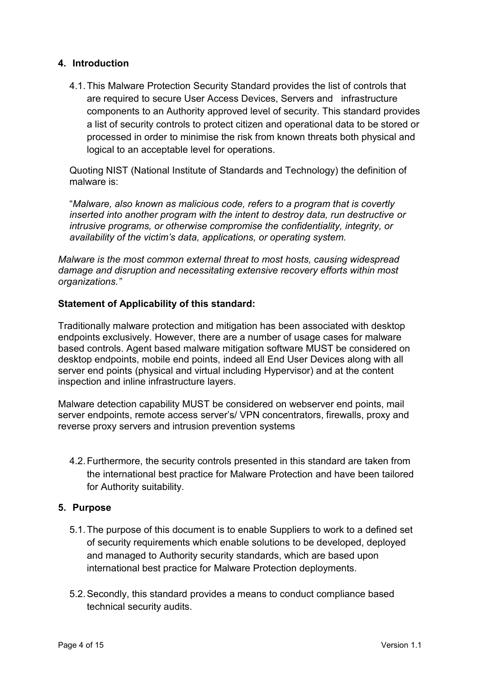## <span id="page-3-0"></span>**4. Introduction**

4.1.This Malware Protection Security Standard provides the list of controls that are required to secure User Access Devices, Servers and infrastructure components to an Authority approved level of security. This standard provides a list of security controls to protect citizen and operational data to be stored or processed in order to minimise the risk from known threats both physical and logical to an acceptable level for operations.

Quoting NIST (National Institute of Standards and Technology) the definition of malware is:

"*Malware, also known as malicious code, refers to a program that is covertly inserted into another program with the intent to destroy data, run destructive or intrusive programs, or otherwise compromise the confidentiality, integrity, or availability of the victim's data, applications, or operating system.*

*Malware is the most common external threat to most hosts, causing widespread damage and disruption and necessitating extensive recovery efforts within most organizations."*

## **Statement of Applicability of this standard:**

Traditionally malware protection and mitigation has been associated with desktop endpoints exclusively. However, there are a number of usage cases for malware based controls. Agent based malware mitigation software MUST be considered on desktop endpoints, mobile end points, indeed all End User Devices along with all server end points (physical and virtual including Hypervisor) and at the content inspection and inline infrastructure layers.

Malware detection capability MUST be considered on webserver end points, mail server endpoints, remote access server's/ VPN concentrators, firewalls, proxy and reverse proxy servers and intrusion prevention systems

4.2.Furthermore, the security controls presented in this standard are taken from the international best practice for Malware Protection and have been tailored for Authority suitability.

#### <span id="page-3-1"></span>**5. Purpose**

- 5.1.The purpose of this document is to enable Suppliers to work to a defined set of security requirements which enable solutions to be developed, deployed and managed to Authority security standards, which are based upon international best practice for Malware Protection deployments.
- 5.2.Secondly, this standard provides a means to conduct compliance based technical security audits.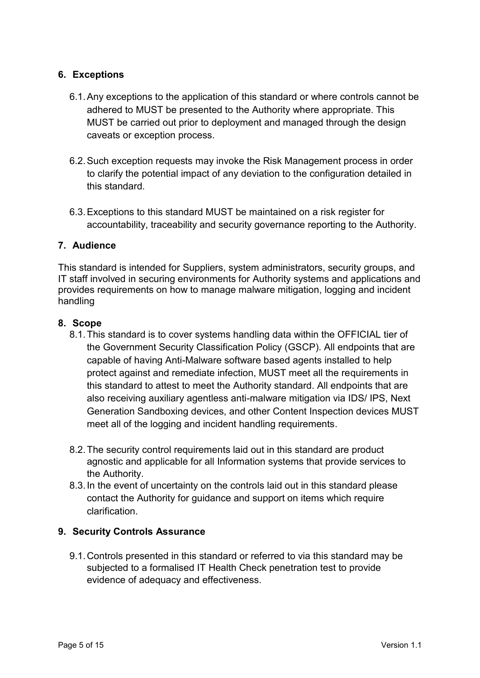# <span id="page-4-0"></span>**6. Exceptions**

- 6.1.Any exceptions to the application of this standard or where controls cannot be adhered to MUST be presented to the Authority where appropriate. This MUST be carried out prior to deployment and managed through the design caveats or exception process.
- 6.2.Such exception requests may invoke the Risk Management process in order to clarify the potential impact of any deviation to the configuration detailed in this standard.
- 6.3.Exceptions to this standard MUST be maintained on a risk register for accountability, traceability and security governance reporting to the Authority.

#### <span id="page-4-1"></span>**7. Audience**

This standard is intended for Suppliers, system administrators, security groups, and IT staff involved in securing environments for Authority systems and applications and provides requirements on how to manage malware mitigation, logging and incident handling

#### <span id="page-4-2"></span>**8. Scope**

- 8.1.This standard is to cover systems handling data within the OFFICIAL tier of the Government Security Classification Policy (GSCP). All endpoints that are capable of having Anti-Malware software based agents installed to help protect against and remediate infection, MUST meet all the requirements in this standard to attest to meet the Authority standard. All endpoints that are also receiving auxiliary agentless anti-malware mitigation via IDS/ IPS, Next Generation Sandboxing devices, and other Content Inspection devices MUST meet all of the logging and incident handling requirements.
- 8.2.The security control requirements laid out in this standard are product agnostic and applicable for all Information systems that provide services to the Authority.
- 8.3.In the event of uncertainty on the controls laid out in this standard please contact the Authority for guidance and support on items which require clarification.

#### <span id="page-4-3"></span>**9. Security Controls Assurance**

9.1.Controls presented in this standard or referred to via this standard may be subjected to a formalised IT Health Check penetration test to provide evidence of adequacy and effectiveness.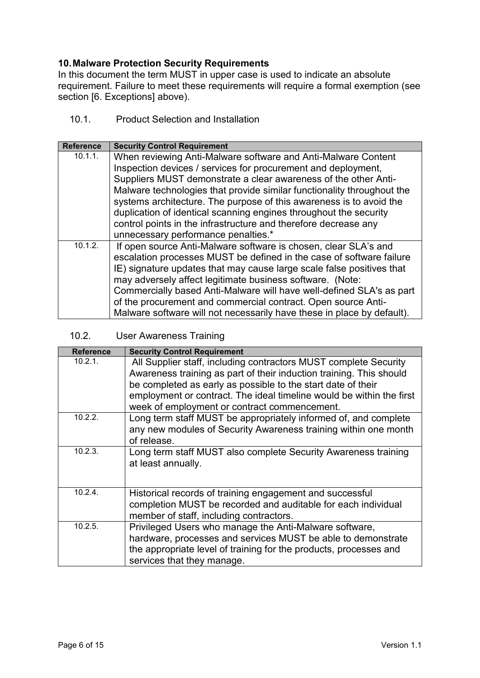# <span id="page-5-0"></span>**10.Malware Protection Security Requirements**

In this document the term MUST in upper case is used to indicate an absolute requirement. Failure to meet these requirements will require a formal exemption (see section [6. Exceptions] above).

# <span id="page-5-1"></span>10.1. Product Selection and Installation

| <b>Reference</b> | <b>Security Control Requirement</b>                                                                                                           |
|------------------|-----------------------------------------------------------------------------------------------------------------------------------------------|
| 10.1.1.          | When reviewing Anti-Malware software and Anti-Malware Content                                                                                 |
|                  | Inspection devices / services for procurement and deployment,                                                                                 |
|                  | Suppliers MUST demonstrate a clear awareness of the other Anti-                                                                               |
|                  | Malware technologies that provide similar functionality throughout the<br>systems architecture. The purpose of this awareness is to avoid the |
|                  | duplication of identical scanning engines throughout the security                                                                             |
|                  | control points in the infrastructure and therefore decrease any                                                                               |
|                  | unnecessary performance penalties.*                                                                                                           |
| 10.1.2.          | If open source Anti-Malware software is chosen, clear SLA's and                                                                               |
|                  | escalation processes MUST be defined in the case of software failure                                                                          |
|                  | IE) signature updates that may cause large scale false positives that                                                                         |
|                  | may adversely affect legitimate business software. (Note:                                                                                     |
|                  | Commercially based Anti-Malware will have well-defined SLA's as part                                                                          |
|                  | of the procurement and commercial contract. Open source Anti-                                                                                 |
|                  | Malware software will not necessarily have these in place by default).                                                                        |

# <span id="page-5-2"></span>10.2. User Awareness Training

| <b>Reference</b> | <b>Security Control Requirement</b>                                  |
|------------------|----------------------------------------------------------------------|
| 10.2.1.          | All Supplier staff, including contractors MUST complete Security     |
|                  | Awareness training as part of their induction training. This should  |
|                  | be completed as early as possible to the start date of their         |
|                  | employment or contract. The ideal timeline would be within the first |
|                  | week of employment or contract commencement.                         |
| 10.2.2.          | Long term staff MUST be appropriately informed of, and complete      |
|                  | any new modules of Security Awareness training within one month      |
|                  | of release.                                                          |
| 10.2.3.          | Long term staff MUST also complete Security Awareness training       |
|                  | at least annually.                                                   |
|                  |                                                                      |
|                  |                                                                      |
| 10.2.4.          | Historical records of training engagement and successful             |
|                  | completion MUST be recorded and auditable for each individual        |
|                  | member of staff, including contractors.                              |
| 10.2.5.          | Privileged Users who manage the Anti-Malware software,               |
|                  | hardware, processes and services MUST be able to demonstrate         |
|                  | the appropriate level of training for the products, processes and    |
|                  | services that they manage.                                           |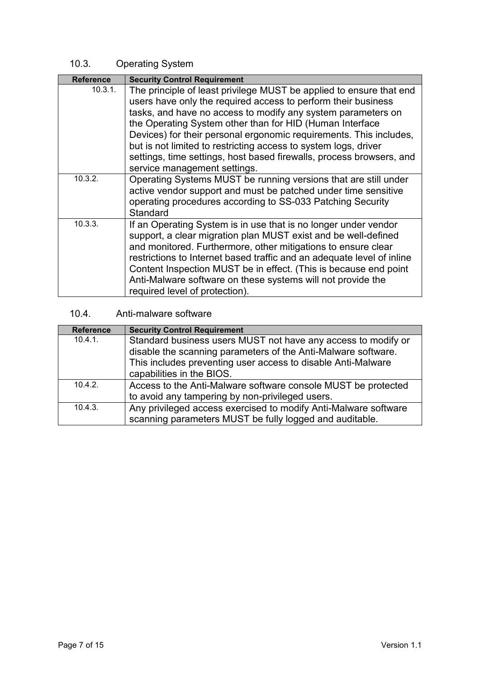# <span id="page-6-0"></span>10.3. Operating System

| <b>Reference</b> | <b>Security Control Requirement</b>                                                                                                                                                                                                                                                                                                                                                                                                                                                                               |
|------------------|-------------------------------------------------------------------------------------------------------------------------------------------------------------------------------------------------------------------------------------------------------------------------------------------------------------------------------------------------------------------------------------------------------------------------------------------------------------------------------------------------------------------|
| 10.3.1.          | The principle of least privilege MUST be applied to ensure that end<br>users have only the required access to perform their business<br>tasks, and have no access to modify any system parameters on<br>the Operating System other than for HID (Human Interface<br>Devices) for their personal ergonomic requirements. This includes,<br>but is not limited to restricting access to system logs, driver<br>settings, time settings, host based firewalls, process browsers, and<br>service management settings. |
| 10.3.2.          | Operating Systems MUST be running versions that are still under<br>active vendor support and must be patched under time sensitive<br>operating procedures according to SS-033 Patching Security<br>Standard                                                                                                                                                                                                                                                                                                       |
| 10.3.3.          | If an Operating System is in use that is no longer under vendor<br>support, a clear migration plan MUST exist and be well-defined<br>and monitored. Furthermore, other mitigations to ensure clear<br>restrictions to Internet based traffic and an adequate level of inline<br>Content Inspection MUST be in effect. (This is because end point<br>Anti-Malware software on these systems will not provide the<br>required level of protection).                                                                 |

# <span id="page-6-1"></span>10.4. Anti-malware software

| <b>Reference</b> | <b>Security Control Requirement</b>                             |
|------------------|-----------------------------------------------------------------|
| 10.4.1.          | Standard business users MUST not have any access to modify or   |
|                  | disable the scanning parameters of the Anti-Malware software.   |
|                  | This includes preventing user access to disable Anti-Malware    |
|                  | capabilities in the BIOS.                                       |
| 10.4.2           | Access to the Anti-Malware software console MUST be protected   |
|                  | to avoid any tampering by non-privileged users.                 |
| 10.4.3.          | Any privileged access exercised to modify Anti-Malware software |
|                  | scanning parameters MUST be fully logged and auditable.         |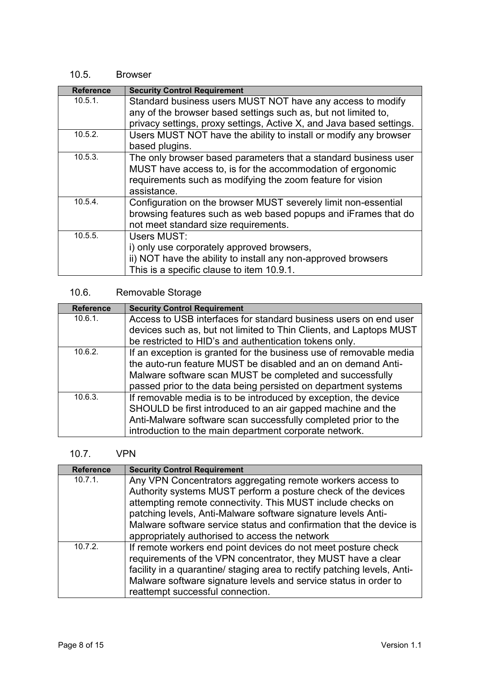# <span id="page-7-0"></span>10.5. Browser

| <b>Reference</b> | <b>Security Control Requirement</b>                                  |
|------------------|----------------------------------------------------------------------|
| 10.5.1.          | Standard business users MUST NOT have any access to modify           |
|                  | any of the browser based settings such as, but not limited to,       |
|                  | privacy settings, proxy settings, Active X, and Java based settings. |
| 10.5.2.          | Users MUST NOT have the ability to install or modify any browser     |
|                  | based plugins.                                                       |
| 10.5.3.          | The only browser based parameters that a standard business user      |
|                  | MUST have access to, is for the accommodation of ergonomic           |
|                  | requirements such as modifying the zoom feature for vision           |
|                  | assistance.                                                          |
| 10.5.4.          | Configuration on the browser MUST severely limit non-essential       |
|                  | browsing features such as web based popups and iFrames that do       |
|                  | not meet standard size requirements.                                 |
| 10.5.5.          | Users MUST:                                                          |
|                  | i) only use corporately approved browsers,                           |
|                  | ii) NOT have the ability to install any non-approved browsers        |
|                  | This is a specific clause to item 10.9.1.                            |

# <span id="page-7-1"></span>10.6. Removable Storage

| <b>Reference</b> | <b>Security Control Requirement</b>                                |
|------------------|--------------------------------------------------------------------|
| $10.6.1$ .       | Access to USB interfaces for standard business users on end user   |
|                  | devices such as, but not limited to Thin Clients, and Laptops MUST |
|                  | be restricted to HID's and authentication tokens only.             |
| 10.6.2.          | If an exception is granted for the business use of removable media |
|                  | the auto-run feature MUST be disabled and an on demand Anti-       |
|                  | Malware software scan MUST be completed and successfully           |
|                  | passed prior to the data being persisted on department systems     |
| 10.6.3.          | If removable media is to be introduced by exception, the device    |
|                  | SHOULD be first introduced to an air gapped machine and the        |
|                  | Anti-Malware software scan successfully completed prior to the     |
|                  | introduction to the main department corporate network.             |

# <span id="page-7-2"></span>10.7. VPN

| <b>Reference</b> | <b>Security Control Requirement</b>                                                                                                                                                                                                                                                                                                |
|------------------|------------------------------------------------------------------------------------------------------------------------------------------------------------------------------------------------------------------------------------------------------------------------------------------------------------------------------------|
| $10.7.1$ .       | Any VPN Concentrators aggregating remote workers access to<br>Authority systems MUST perform a posture check of the devices<br>attempting remote connectivity. This MUST include checks on<br>patching levels, Anti-Malware software signature levels Anti-<br>Malware software service status and confirmation that the device is |
|                  | appropriately authorised to access the network                                                                                                                                                                                                                                                                                     |
| 10.7.2.          | If remote workers end point devices do not meet posture check<br>requirements of the VPN concentrator, they MUST have a clear<br>facility in a quarantine/ staging area to rectify patching levels, Anti-<br>Malware software signature levels and service status in order to<br>reattempt successful connection.                  |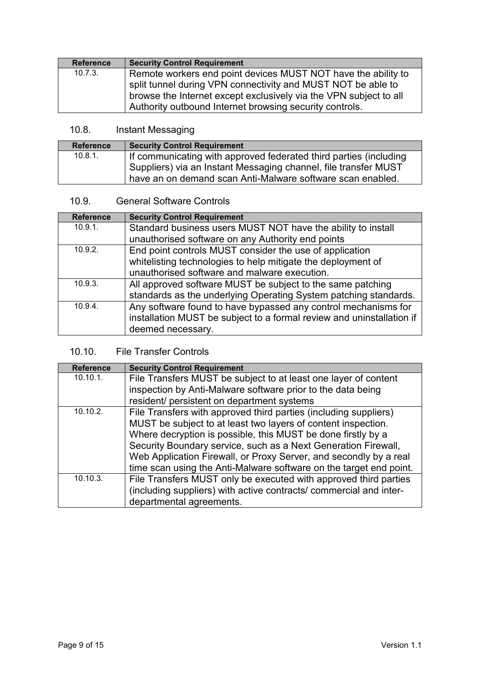| <b>Reference</b> | <b>Security Control Requirement</b>                               |
|------------------|-------------------------------------------------------------------|
| 10.7.3.          | Remote workers end point devices MUST NOT have the ability to     |
|                  | split tunnel during VPN connectivity and MUST NOT be able to      |
|                  | browse the Internet except exclusively via the VPN subject to all |
|                  | Authority outbound Internet browsing security controls.           |

# <span id="page-8-0"></span>10.8. Instant Messaging

| <b>Reference</b> | <b>Security Control Requirement</b>                                                                                                  |
|------------------|--------------------------------------------------------------------------------------------------------------------------------------|
| $10.8.1$ .       | If communicating with approved federated third parties (including<br>Suppliers) via an Instant Messaging channel, file transfer MUST |
|                  | have an on demand scan Anti-Malware software scan enabled.                                                                           |

# <span id="page-8-1"></span>10.9. General Software Controls

| <b>Reference</b> | <b>Security Control Requirement</b>                                   |
|------------------|-----------------------------------------------------------------------|
| 10.9.1.          | Standard business users MUST NOT have the ability to install          |
|                  | unauthorised software on any Authority end points                     |
| 10.9.2.          | End point controls MUST consider the use of application               |
|                  | whitelisting technologies to help mitigate the deployment of          |
|                  | unauthorised software and malware execution.                          |
| 10.9.3.          | All approved software MUST be subject to the same patching            |
|                  | standards as the underlying Operating System patching standards.      |
| 10.9.4.          | Any software found to have bypassed any control mechanisms for        |
|                  | installation MUST be subject to a formal review and uninstallation if |
|                  | deemed necessary.                                                     |

# <span id="page-8-2"></span>10.10. File Transfer Controls

| <b>Reference</b> | <b>Security Control Requirement</b>                                |
|------------------|--------------------------------------------------------------------|
| 10.10.1.         | File Transfers MUST be subject to at least one layer of content    |
|                  | inspection by Anti-Malware software prior to the data being        |
|                  | resident/ persistent on department systems                         |
| 10.10.2.         | File Transfers with approved third parties (including suppliers)   |
|                  | MUST be subject to at least two layers of content inspection.      |
|                  | Where decryption is possible, this MUST be done firstly by a       |
|                  | Security Boundary service, such as a Next Generation Firewall,     |
|                  | Web Application Firewall, or Proxy Server, and secondly by a real  |
|                  | time scan using the Anti-Malware software on the target end point. |
| 10.10.3.         | File Transfers MUST only be executed with approved third parties   |
|                  | (including suppliers) with active contracts/ commercial and inter- |
|                  | departmental agreements.                                           |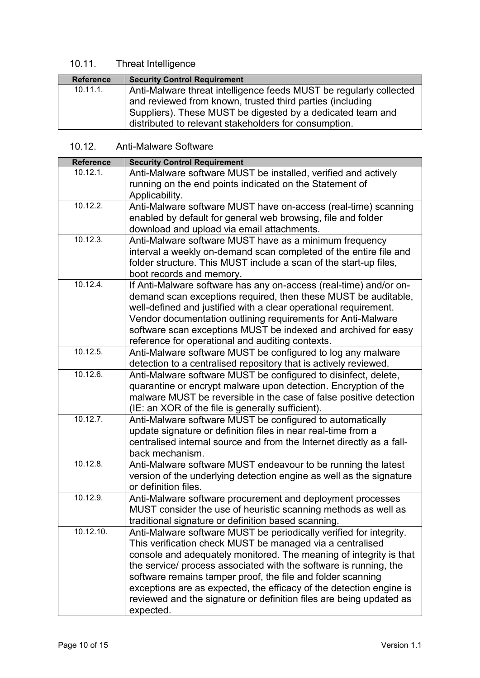# <span id="page-9-0"></span>10.11. Threat Intelligence

| <b>Reference</b> | <b>Security Control Requirement</b>                                |
|------------------|--------------------------------------------------------------------|
| $10.11.1$ .      | Anti-Malware threat intelligence feeds MUST be regularly collected |
|                  | and reviewed from known, trusted third parties (including          |
|                  | Suppliers). These MUST be digested by a dedicated team and         |
|                  | distributed to relevant stakeholders for consumption.              |

# <span id="page-9-1"></span>10.12. Anti-Malware Software

| <b>Reference</b> | <b>Security Control Requirement</b>                                   |
|------------------|-----------------------------------------------------------------------|
| 10.12.1.         | Anti-Malware software MUST be installed, verified and actively        |
|                  | running on the end points indicated on the Statement of               |
|                  | Applicability.                                                        |
| 10.12.2.         | Anti-Malware software MUST have on-access (real-time) scanning        |
|                  | enabled by default for general web browsing, file and folder          |
|                  | download and upload via email attachments.                            |
| 10.12.3.         | Anti-Malware software MUST have as a minimum frequency                |
|                  | interval a weekly on-demand scan completed of the entire file and     |
|                  | folder structure. This MUST include a scan of the start-up files,     |
|                  | boot records and memory.                                              |
| 10.12.4.         | If Anti-Malware software has any on-access (real-time) and/or on-     |
|                  | demand scan exceptions required, then these MUST be auditable,        |
|                  | well-defined and justified with a clear operational requirement.      |
|                  | Vendor documentation outlining requirements for Anti-Malware          |
|                  | software scan exceptions MUST be indexed and archived for easy        |
|                  | reference for operational and auditing contexts.                      |
| 10.12.5.         | Anti-Malware software MUST be configured to log any malware           |
|                  | detection to a centralised repository that is actively reviewed.      |
| 10.12.6.         | Anti-Malware software MUST be configured to disinfect, delete,        |
|                  | quarantine or encrypt malware upon detection. Encryption of the       |
|                  | malware MUST be reversible in the case of false positive detection    |
|                  | (IE: an XOR of the file is generally sufficient).                     |
| 10.12.7.         | Anti-Malware software MUST be configured to automatically             |
|                  | update signature or definition files in near real-time from a         |
|                  | centralised internal source and from the Internet directly as a fall- |
|                  | back mechanism.                                                       |
| 10.12.8.         | Anti-Malware software MUST endeavour to be running the latest         |
|                  | version of the underlying detection engine as well as the signature   |
|                  | or definition files.                                                  |
| 10.12.9.         | Anti-Malware software procurement and deployment processes            |
|                  | MUST consider the use of heuristic scanning methods as well as        |
|                  | traditional signature or definition based scanning.                   |
| 10.12.10.        | Anti-Malware software MUST be periodically verified for integrity.    |
|                  | This verification check MUST be managed via a centralised             |
|                  | console and adequately monitored. The meaning of integrity is that    |
|                  | the service/ process associated with the software is running, the     |
|                  | software remains tamper proof, the file and folder scanning           |
|                  | exceptions are as expected, the efficacy of the detection engine is   |
|                  | reviewed and the signature or definition files are being updated as   |
|                  | expected.                                                             |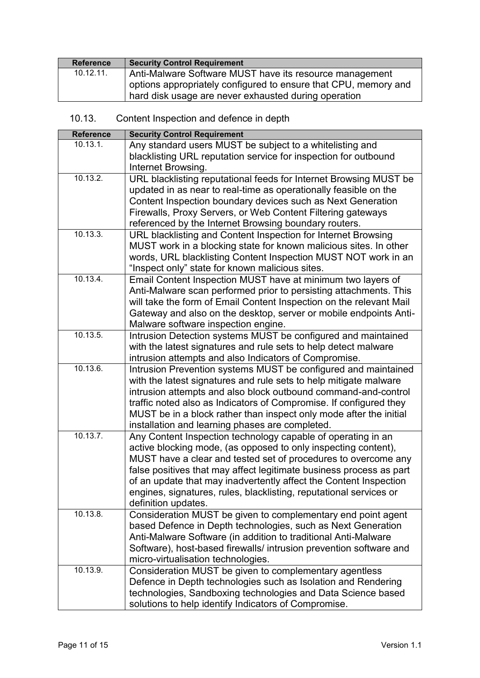| <b>Reference</b> | <b>Security Control Requirement</b>                             |
|------------------|-----------------------------------------------------------------|
| $10.12.11$ .     | Anti-Malware Software MUST have its resource management         |
|                  | options appropriately configured to ensure that CPU, memory and |
|                  | hard disk usage are never exhausted during operation            |

<span id="page-10-0"></span>

| 10.13. |  | Content Inspection and defence in depth |  |
|--------|--|-----------------------------------------|--|
|        |  |                                         |  |

| <b>Reference</b> | <b>Security Control Requirement</b>                                 |
|------------------|---------------------------------------------------------------------|
| 10.13.1.         | Any standard users MUST be subject to a whitelisting and            |
|                  | blacklisting URL reputation service for inspection for outbound     |
|                  | Internet Browsing.                                                  |
| 10.13.2.         | URL blacklisting reputational feeds for Internet Browsing MUST be   |
|                  | updated in as near to real-time as operationally feasible on the    |
|                  | Content Inspection boundary devices such as Next Generation         |
|                  | Firewalls, Proxy Servers, or Web Content Filtering gateways         |
|                  | referenced by the Internet Browsing boundary routers.               |
| 10.13.3.         | URL blacklisting and Content Inspection for Internet Browsing       |
|                  | MUST work in a blocking state for known malicious sites. In other   |
|                  | words, URL blacklisting Content Inspection MUST NOT work in an      |
|                  | "Inspect only" state for known malicious sites.                     |
| 10.13.4.         | Email Content Inspection MUST have at minimum two layers of         |
|                  | Anti-Malware scan performed prior to persisting attachments. This   |
|                  | will take the form of Email Content Inspection on the relevant Mail |
|                  | Gateway and also on the desktop, server or mobile endpoints Anti-   |
|                  | Malware software inspection engine.                                 |
| 10.13.5.         | Intrusion Detection systems MUST be configured and maintained       |
|                  | with the latest signatures and rule sets to help detect malware     |
|                  | intrusion attempts and also Indicators of Compromise.               |
| 10.13.6.         | Intrusion Prevention systems MUST be configured and maintained      |
|                  | with the latest signatures and rule sets to help mitigate malware   |
|                  | intrusion attempts and also block outbound command-and-control      |
|                  | traffic noted also as Indicators of Compromise. If configured they  |
|                  | MUST be in a block rather than inspect only mode after the initial  |
|                  | installation and learning phases are completed.                     |
| 10.13.7.         | Any Content Inspection technology capable of operating in an        |
|                  | active blocking mode, (as opposed to only inspecting content),      |
|                  | MUST have a clear and tested set of procedures to overcome any      |
|                  | false positives that may affect legitimate business process as part |
|                  | of an update that may inadvertently affect the Content Inspection   |
|                  | engines, signatures, rules, blacklisting, reputational services or  |
|                  | definition updates.                                                 |
| 10.13.8.         | Consideration MUST be given to complementary end point agent        |
|                  | based Defence in Depth technologies, such as Next Generation        |
|                  | Anti-Malware Software (in addition to traditional Anti-Malware      |
|                  | Software), host-based firewalls/ intrusion prevention software and  |
|                  | micro-virtualisation technologies.                                  |
| 10.13.9.         | Consideration MUST be given to complementary agentless              |
|                  | Defence in Depth technologies such as Isolation and Rendering       |
|                  | technologies, Sandboxing technologies and Data Science based        |
|                  | solutions to help identify Indicators of Compromise.                |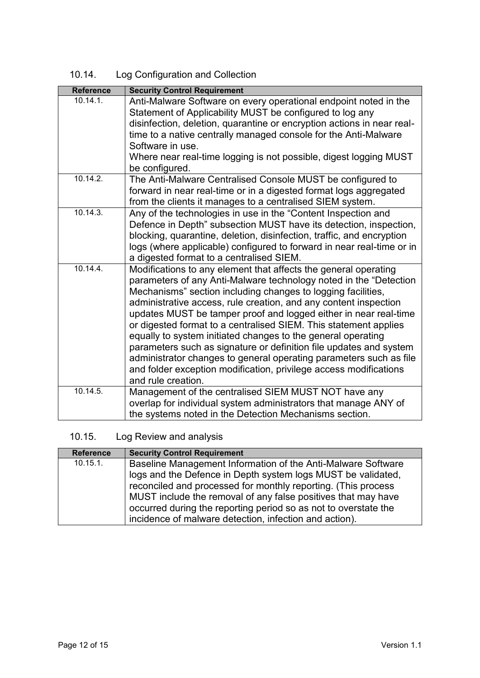<span id="page-11-0"></span>

| 10.14. | Log Configuration and Collection |  |
|--------|----------------------------------|--|
|        |                                  |  |

| <b>Reference</b> | <b>Security Control Requirement</b>                                                                                                            |
|------------------|------------------------------------------------------------------------------------------------------------------------------------------------|
| 10.14.1.         | Anti-Malware Software on every operational endpoint noted in the                                                                               |
|                  | Statement of Applicability MUST be configured to log any                                                                                       |
|                  | disinfection, deletion, quarantine or encryption actions in near real-                                                                         |
|                  | time to a native centrally managed console for the Anti-Malware                                                                                |
|                  | Software in use.                                                                                                                               |
|                  | Where near real-time logging is not possible, digest logging MUST                                                                              |
|                  | be configured.                                                                                                                                 |
| 10.14.2.         | The Anti-Malware Centralised Console MUST be configured to                                                                                     |
|                  | forward in near real-time or in a digested format logs aggregated                                                                              |
| 10.14.3.         | from the clients it manages to a centralised SIEM system.                                                                                      |
|                  | Any of the technologies in use in the "Content Inspection and                                                                                  |
|                  | Defence in Depth" subsection MUST have its detection, inspection,                                                                              |
|                  | blocking, quarantine, deletion, disinfection, traffic, and encryption<br>logs (where applicable) configured to forward in near real-time or in |
|                  | a digested format to a centralised SIEM.                                                                                                       |
| 10.14.4.         | Modifications to any element that affects the general operating                                                                                |
|                  | parameters of any Anti-Malware technology noted in the "Detection                                                                              |
|                  | Mechanisms" section including changes to logging facilities,                                                                                   |
|                  | administrative access, rule creation, and any content inspection                                                                               |
|                  | updates MUST be tamper proof and logged either in near real-time                                                                               |
|                  | or digested format to a centralised SIEM. This statement applies                                                                               |
|                  | equally to system initiated changes to the general operating                                                                                   |
|                  | parameters such as signature or definition file updates and system                                                                             |
|                  | administrator changes to general operating parameters such as file                                                                             |
|                  | and folder exception modification, privilege access modifications                                                                              |
|                  | and rule creation.                                                                                                                             |
| 10.14.5.         | Management of the centralised SIEM MUST NOT have any                                                                                           |
|                  | overlap for individual system administrators that manage ANY of                                                                                |
|                  | the systems noted in the Detection Mechanisms section.                                                                                         |

# <span id="page-11-1"></span>10.15. Log Review and analysis

| <b>Reference</b> | <b>Security Control Requirement</b>                             |
|------------------|-----------------------------------------------------------------|
| 10.15.1.         | Baseline Management Information of the Anti-Malware Software    |
|                  | logs and the Defence in Depth system logs MUST be validated,    |
|                  | reconciled and processed for monthly reporting. (This process   |
|                  | MUST include the removal of any false positives that may have   |
|                  | occurred during the reporting period so as not to overstate the |
|                  | incidence of malware detection, infection and action).          |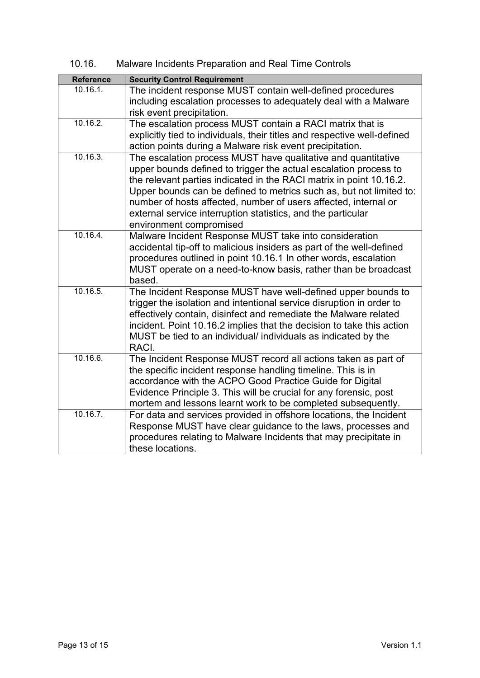10.16. Malware Incidents Preparation and Real Time Controls

<span id="page-12-0"></span>

| <b>Security Control Requirement</b><br><b>Reference</b><br>$10.16.1$ .<br>The incident response MUST contain well-defined procedures<br>including escalation processes to adequately deal with a Malware<br>risk event precipitation.<br>10.16.2.<br>The escalation process MUST contain a RACI matrix that is<br>explicitly tied to individuals, their titles and respective well-defined<br>action points during a Malware risk event precipitation.<br>10.16.3.<br>The escalation process MUST have qualitative and quantitative<br>upper bounds defined to trigger the actual escalation process to<br>the relevant parties indicated in the RACI matrix in point 10.16.2.<br>Upper bounds can be defined to metrics such as, but not limited to:<br>number of hosts affected, number of users affected, internal or<br>external service interruption statistics, and the particular<br>environment compromised<br>10.16.4.<br>Malware Incident Response MUST take into consideration |
|-------------------------------------------------------------------------------------------------------------------------------------------------------------------------------------------------------------------------------------------------------------------------------------------------------------------------------------------------------------------------------------------------------------------------------------------------------------------------------------------------------------------------------------------------------------------------------------------------------------------------------------------------------------------------------------------------------------------------------------------------------------------------------------------------------------------------------------------------------------------------------------------------------------------------------------------------------------------------------------------|
|                                                                                                                                                                                                                                                                                                                                                                                                                                                                                                                                                                                                                                                                                                                                                                                                                                                                                                                                                                                           |
|                                                                                                                                                                                                                                                                                                                                                                                                                                                                                                                                                                                                                                                                                                                                                                                                                                                                                                                                                                                           |
|                                                                                                                                                                                                                                                                                                                                                                                                                                                                                                                                                                                                                                                                                                                                                                                                                                                                                                                                                                                           |
|                                                                                                                                                                                                                                                                                                                                                                                                                                                                                                                                                                                                                                                                                                                                                                                                                                                                                                                                                                                           |
|                                                                                                                                                                                                                                                                                                                                                                                                                                                                                                                                                                                                                                                                                                                                                                                                                                                                                                                                                                                           |
|                                                                                                                                                                                                                                                                                                                                                                                                                                                                                                                                                                                                                                                                                                                                                                                                                                                                                                                                                                                           |
|                                                                                                                                                                                                                                                                                                                                                                                                                                                                                                                                                                                                                                                                                                                                                                                                                                                                                                                                                                                           |
|                                                                                                                                                                                                                                                                                                                                                                                                                                                                                                                                                                                                                                                                                                                                                                                                                                                                                                                                                                                           |
|                                                                                                                                                                                                                                                                                                                                                                                                                                                                                                                                                                                                                                                                                                                                                                                                                                                                                                                                                                                           |
|                                                                                                                                                                                                                                                                                                                                                                                                                                                                                                                                                                                                                                                                                                                                                                                                                                                                                                                                                                                           |
|                                                                                                                                                                                                                                                                                                                                                                                                                                                                                                                                                                                                                                                                                                                                                                                                                                                                                                                                                                                           |
|                                                                                                                                                                                                                                                                                                                                                                                                                                                                                                                                                                                                                                                                                                                                                                                                                                                                                                                                                                                           |
|                                                                                                                                                                                                                                                                                                                                                                                                                                                                                                                                                                                                                                                                                                                                                                                                                                                                                                                                                                                           |
|                                                                                                                                                                                                                                                                                                                                                                                                                                                                                                                                                                                                                                                                                                                                                                                                                                                                                                                                                                                           |
|                                                                                                                                                                                                                                                                                                                                                                                                                                                                                                                                                                                                                                                                                                                                                                                                                                                                                                                                                                                           |
| accidental tip-off to malicious insiders as part of the well-defined                                                                                                                                                                                                                                                                                                                                                                                                                                                                                                                                                                                                                                                                                                                                                                                                                                                                                                                      |
| procedures outlined in point 10.16.1 In other words, escalation                                                                                                                                                                                                                                                                                                                                                                                                                                                                                                                                                                                                                                                                                                                                                                                                                                                                                                                           |
| MUST operate on a need-to-know basis, rather than be broadcast                                                                                                                                                                                                                                                                                                                                                                                                                                                                                                                                                                                                                                                                                                                                                                                                                                                                                                                            |
| based.                                                                                                                                                                                                                                                                                                                                                                                                                                                                                                                                                                                                                                                                                                                                                                                                                                                                                                                                                                                    |
| 10.16.5.<br>The Incident Response MUST have well-defined upper bounds to                                                                                                                                                                                                                                                                                                                                                                                                                                                                                                                                                                                                                                                                                                                                                                                                                                                                                                                  |
| trigger the isolation and intentional service disruption in order to                                                                                                                                                                                                                                                                                                                                                                                                                                                                                                                                                                                                                                                                                                                                                                                                                                                                                                                      |
| effectively contain, disinfect and remediate the Malware related                                                                                                                                                                                                                                                                                                                                                                                                                                                                                                                                                                                                                                                                                                                                                                                                                                                                                                                          |
| incident. Point 10.16.2 implies that the decision to take this action                                                                                                                                                                                                                                                                                                                                                                                                                                                                                                                                                                                                                                                                                                                                                                                                                                                                                                                     |
| MUST be tied to an individual/ individuals as indicated by the                                                                                                                                                                                                                                                                                                                                                                                                                                                                                                                                                                                                                                                                                                                                                                                                                                                                                                                            |
| RACI.                                                                                                                                                                                                                                                                                                                                                                                                                                                                                                                                                                                                                                                                                                                                                                                                                                                                                                                                                                                     |
| 10.16.6.<br>The Incident Response MUST record all actions taken as part of                                                                                                                                                                                                                                                                                                                                                                                                                                                                                                                                                                                                                                                                                                                                                                                                                                                                                                                |
| the specific incident response handling timeline. This is in                                                                                                                                                                                                                                                                                                                                                                                                                                                                                                                                                                                                                                                                                                                                                                                                                                                                                                                              |
| accordance with the ACPO Good Practice Guide for Digital                                                                                                                                                                                                                                                                                                                                                                                                                                                                                                                                                                                                                                                                                                                                                                                                                                                                                                                                  |
| Evidence Principle 3. This will be crucial for any forensic, post                                                                                                                                                                                                                                                                                                                                                                                                                                                                                                                                                                                                                                                                                                                                                                                                                                                                                                                         |
| mortem and lessons learnt work to be completed subsequently.                                                                                                                                                                                                                                                                                                                                                                                                                                                                                                                                                                                                                                                                                                                                                                                                                                                                                                                              |
| 10.16.7.<br>For data and services provided in offshore locations, the Incident                                                                                                                                                                                                                                                                                                                                                                                                                                                                                                                                                                                                                                                                                                                                                                                                                                                                                                            |
| Response MUST have clear guidance to the laws, processes and                                                                                                                                                                                                                                                                                                                                                                                                                                                                                                                                                                                                                                                                                                                                                                                                                                                                                                                              |
| procedures relating to Malware Incidents that may precipitate in                                                                                                                                                                                                                                                                                                                                                                                                                                                                                                                                                                                                                                                                                                                                                                                                                                                                                                                          |
| these locations.                                                                                                                                                                                                                                                                                                                                                                                                                                                                                                                                                                                                                                                                                                                                                                                                                                                                                                                                                                          |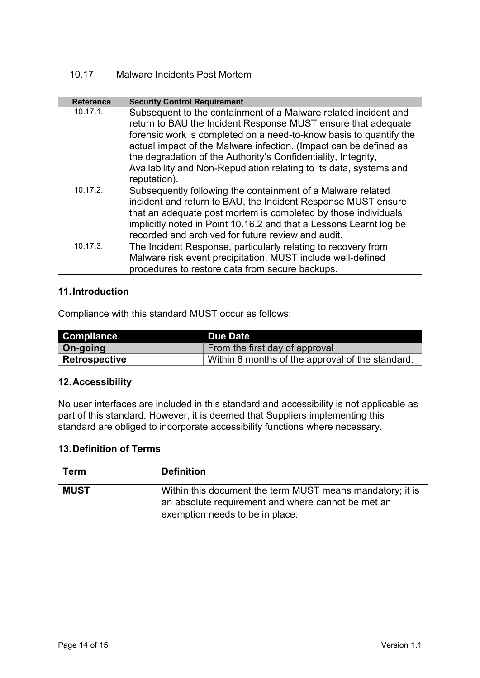## <span id="page-13-0"></span>10.17. Malware Incidents Post Mortem

| <b>Reference</b> | <b>Security Control Requirement</b>                                                                                                                                                                                                                                                                                                                                                                                 |
|------------------|---------------------------------------------------------------------------------------------------------------------------------------------------------------------------------------------------------------------------------------------------------------------------------------------------------------------------------------------------------------------------------------------------------------------|
| $10.17.1$ .      | Subsequent to the containment of a Malware related incident and<br>return to BAU the Incident Response MUST ensure that adequate<br>forensic work is completed on a need-to-know basis to quantify the<br>actual impact of the Malware infection. (Impact can be defined as<br>the degradation of the Authority's Confidentiality, Integrity,<br>Availability and Non-Repudiation relating to its data, systems and |
|                  | reputation).                                                                                                                                                                                                                                                                                                                                                                                                        |
| 10.17.2.         | Subsequently following the containment of a Malware related<br>incident and return to BAU, the Incident Response MUST ensure<br>that an adequate post mortem is completed by those individuals<br>implicitly noted in Point 10.16.2 and that a Lessons Learnt log be<br>recorded and archived for future review and audit.                                                                                          |
| 10.17.3.         | The Incident Response, particularly relating to recovery from<br>Malware risk event precipitation, MUST include well-defined<br>procedures to restore data from secure backups.                                                                                                                                                                                                                                     |

#### <span id="page-13-1"></span>**11.Introduction**

Compliance with this standard MUST occur as follows:

| <b>Compliance</b>    | Due Date                                         |
|----------------------|--------------------------------------------------|
| $\vert$ On-going     | From the first day of approval                   |
| <b>Retrospective</b> | Within 6 months of the approval of the standard. |

#### <span id="page-13-2"></span>**12.Accessibility**

No user interfaces are included in this standard and accessibility is not applicable as part of this standard. However, it is deemed that Suppliers implementing this standard are obliged to incorporate accessibility functions where necessary.

#### <span id="page-13-3"></span>**13.Definition of Terms**

| <b>Term</b> | <b>Definition</b>                                                                                                                                  |
|-------------|----------------------------------------------------------------------------------------------------------------------------------------------------|
| <b>MUST</b> | Within this document the term MUST means mandatory; it is<br>an absolute requirement and where cannot be met an<br>exemption needs to be in place. |